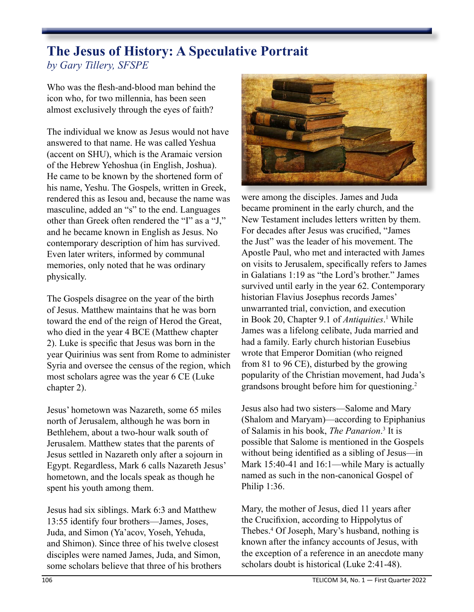## **The Jesus of History: A Speculative Portrait** *by Gary Tillery, SFSPE*

Who was the flesh-and-blood man behind the icon who, for two millennia, has been seen almost exclusively through the eyes of faith?

The individual we know as Jesus would not have answered to that name. He was called Yeshua (accent on SHU), which is the Aramaic version of the Hebrew Yehoshua (in English, Joshua). He came to be known by the shortened form of his name, Yeshu. The Gospels, written in Greek, rendered this as Iesou and, because the name was masculine, added an "s" to the end. Languages other than Greek often rendered the "I" as a "J," and he became known in English as Jesus. No contemporary description of him has survived. Even later writers, informed by communal memories, only noted that he was ordinary physically.

The Gospels disagree on the year of the birth of Jesus. Matthew maintains that he was born toward the end of the reign of Herod the Great, who died in the year 4 BCE (Matthew chapter 2). Luke is specific that Jesus was born in the year Quirinius was sent from Rome to administer Syria and oversee the census of the region, which most scholars agree was the year 6 CE (Luke chapter 2).

Jesus' hometown was Nazareth, some 65 miles north of Jerusalem, although he was born in Bethlehem, about a two-hour walk south of Jerusalem. Matthew states that the parents of Jesus settled in Nazareth only after a sojourn in Egypt. Regardless, Mark 6 calls Nazareth Jesus' hometown, and the locals speak as though he spent his youth among them.

Jesus had six siblings. Mark 6:3 and Matthew 13:55 identify four brothers—James, Joses, Juda, and Simon (Ya'acov, Yoseh, Yehuda, and Shimon). Since three of his twelve closest disciples were named James, Juda, and Simon, some scholars believe that three of his brothers



were among the disciples. James and Juda became prominent in the early church, and the New Testament includes letters written by them. For decades after Jesus was crucified, "James the Just" was the leader of his movement. The Apostle Paul, who met and interacted with James on visits to Jerusalem, specifically refers to James in Galatians 1:19 as "the Lord's brother." James survived until early in the year 62. Contemporary historian Flavius Josephus records James' unwarranted trial, conviction, and execution in Book 20, Chapter 9.1 of *Antiquities*. 1 While James was a lifelong celibate, Juda married and had a family. Early church historian Eusebius wrote that Emperor Domitian (who reigned from 81 to 96 CE), disturbed by the growing popularity of the Christian movement, had Juda's grandsons brought before him for questioning.2

Jesus also had two sisters—Salome and Mary (Shalom and Maryam)—according to Epiphanius of Salamis in his book, *The Panarion*. 3 It is possible that Salome is mentioned in the Gospels without being identified as a sibling of Jesus—in Mark 15:40-41 and 16:1—while Mary is actually named as such in the non-canonical Gospel of Philip 1:36.

Mary, the mother of Jesus, died 11 years after the Crucifixion, according to Hippolytus of Thebes.4 Of Joseph, Mary's husband, nothing is known after the infancy accounts of Jesus, with the exception of a reference in an anecdote many scholars doubt is historical (Luke 2:41-48).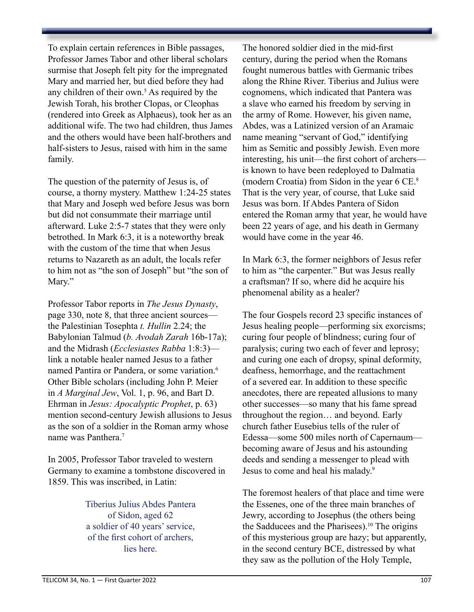To explain certain references in Bible passages, Professor James Tabor and other liberal scholars surmise that Joseph felt pity for the impregnated Mary and married her, but died before they had any children of their own.<sup>5</sup> As required by the Jewish Torah, his brother Clopas, or Cleophas (rendered into Greek as Alphaeus), took her as an additional wife. The two had children, thus James and the others would have been half-brothers and half-sisters to Jesus, raised with him in the same family.

The question of the paternity of Jesus is, of course, a thorny mystery. Matthew 1:24-25 states that Mary and Joseph wed before Jesus was born but did not consummate their marriage until afterward. Luke 2:5-7 states that they were only betrothed. In Mark 6:3, it is a noteworthy break with the custom of the time that when Jesus returns to Nazareth as an adult, the locals refer to him not as "the son of Joseph" but "the son of Mary."

Professor Tabor reports in *The Jesus Dynasty*, page 330, note 8, that three ancient sources the Palestinian Tosephta *t. Hullin* 2.24; the Babylonian Talmud (*b. Avodah Zarah* 16b-17a); and the Midrash (*Ecclesiastes Rabba* 1:8:3) link a notable healer named Jesus to a father named Pantira or Pandera, or some variation.6 Other Bible scholars (including John P. Meier in *A Marginal Jew*, Vol. 1, p. 96, and Bart D. Ehrman in *Jesus: Apocalyptic Prophet*, p. 63) mention second-century Jewish allusions to Jesus as the son of a soldier in the Roman army whose name was Panthera.<sup>7</sup>

In 2005, Professor Tabor traveled to western Germany to examine a tombstone discovered in 1859. This was inscribed, in Latin:

> Tiberius Julius Abdes Pantera of Sidon, aged 62 a soldier of 40 years' service, of the first cohort of archers, lies here.

The honored soldier died in the mid-first century, during the period when the Romans fought numerous battles with Germanic tribes along the Rhine River. Tiberius and Julius were cognomens, which indicated that Pantera was a slave who earned his freedom by serving in the army of Rome. However, his given name, Abdes, was a Latinized version of an Aramaic name meaning "servant of God," identifying him as Semitic and possibly Jewish. Even more interesting, his unit—the first cohort of archers is known to have been redeployed to Dalmatia (modern Croatia) from Sidon in the year 6 CE.8 That is the very year, of course, that Luke said Jesus was born. If Abdes Pantera of Sidon entered the Roman army that year, he would have been 22 years of age, and his death in Germany would have come in the year 46.

In Mark 6:3, the former neighbors of Jesus refer to him as "the carpenter." But was Jesus really a craftsman? If so, where did he acquire his phenomenal ability as a healer?

The four Gospels record 23 specific instances of Jesus healing people—performing six exorcisms; curing four people of blindness; curing four of paralysis; curing two each of fever and leprosy; and curing one each of dropsy, spinal deformity, deafness, hemorrhage, and the reattachment of a severed ear. In addition to these specific anecdotes, there are repeated allusions to many other successes—so many that his fame spread throughout the region… and beyond. Early church father Eusebius tells of the ruler of Edessa—some 500 miles north of Capernaum becoming aware of Jesus and his astounding deeds and sending a messenger to plead with Jesus to come and heal his malady.<sup>9</sup>

The foremost healers of that place and time were the Essenes, one of the three main branches of Jewry, according to Josephus (the others being the Sadducees and the Pharisees).<sup>10</sup> The origins of this mysterious group are hazy; but apparently, in the second century BCE, distressed by what they saw as the pollution of the Holy Temple,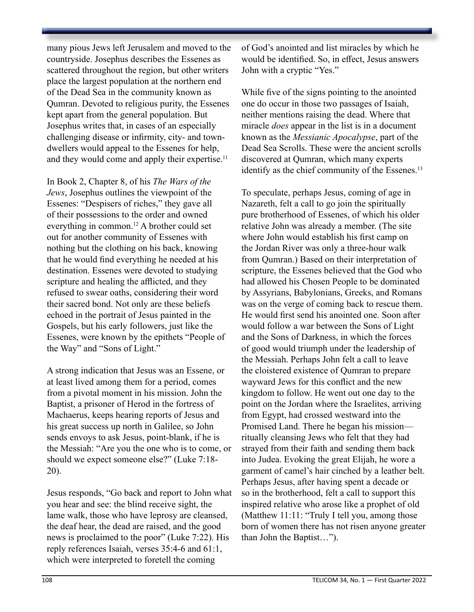many pious Jews left Jerusalem and moved to the countryside. Josephus describes the Essenes as scattered throughout the region, but other writers place the largest population at the northern end of the Dead Sea in the community known as Qumran. Devoted to religious purity, the Essenes kept apart from the general population. But Josephus writes that, in cases of an especially challenging disease or infirmity, city- and towndwellers would appeal to the Essenes for help, and they would come and apply their expertise.<sup>11</sup>

In Book 2, Chapter 8, of his *The Wars of the Jews*, Josephus outlines the viewpoint of the Essenes: "Despisers of riches," they gave all of their possessions to the order and owned everything in common.12 A brother could set out for another community of Essenes with nothing but the clothing on his back, knowing that he would find everything he needed at his destination. Essenes were devoted to studying scripture and healing the afflicted, and they refused to swear oaths, considering their word their sacred bond. Not only are these beliefs echoed in the portrait of Jesus painted in the Gospels, but his early followers, just like the Essenes, were known by the epithets "People of the Way" and "Sons of Light."

A strong indication that Jesus was an Essene, or at least lived among them for a period, comes from a pivotal moment in his mission. John the Baptist, a prisoner of Herod in the fortress of Machaerus, keeps hearing reports of Jesus and his great success up north in Galilee, so John sends envoys to ask Jesus, point-blank, if he is the Messiah: "Are you the one who is to come, or should we expect someone else?" (Luke 7:18- 20).

Jesus responds, "Go back and report to John what you hear and see: the blind receive sight, the lame walk, those who have leprosy are cleansed, the deaf hear, the dead are raised, and the good news is proclaimed to the poor" (Luke 7:22). His reply references Isaiah, verses 35:4-6 and 61:1, which were interpreted to foretell the coming

of God's anointed and list miracles by which he would be identified. So, in effect, Jesus answers John with a cryptic "Yes."

While five of the signs pointing to the anointed one do occur in those two passages of Isaiah, neither mentions raising the dead. Where that miracle *does* appear in the list is in a document known as the *Messianic Apocalypse*, part of the Dead Sea Scrolls. These were the ancient scrolls discovered at Qumran, which many experts identify as the chief community of the Essenes.<sup>13</sup>

To speculate, perhaps Jesus, coming of age in Nazareth, felt a call to go join the spiritually pure brotherhood of Essenes, of which his older relative John was already a member. (The site where John would establish his first camp on the Jordan River was only a three-hour walk from Qumran.) Based on their interpretation of scripture, the Essenes believed that the God who had allowed his Chosen People to be dominated by Assyrians, Babylonians, Greeks, and Romans was on the verge of coming back to rescue them. He would first send his anointed one. Soon after would follow a war between the Sons of Light and the Sons of Darkness, in which the forces of good would triumph under the leadership of the Messiah. Perhaps John felt a call to leave the cloistered existence of Qumran to prepare wayward Jews for this conflict and the new kingdom to follow. He went out one day to the point on the Jordan where the Israelites, arriving from Egypt, had crossed westward into the Promised Land. There he began his mission ritually cleansing Jews who felt that they had strayed from their faith and sending them back into Judea. Evoking the great Elijah, he wore a garment of camel's hair cinched by a leather belt. Perhaps Jesus, after having spent a decade or so in the brotherhood, felt a call to support this inspired relative who arose like a prophet of old (Matthew 11:11: "Truly I tell you, among those born of women there has not risen anyone greater than John the Baptist…").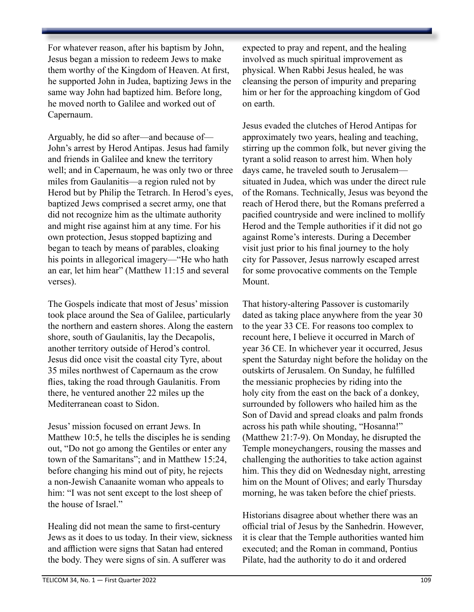For whatever reason, after his baptism by John, Jesus began a mission to redeem Jews to make them worthy of the Kingdom of Heaven. At first, he supported John in Judea, baptizing Jews in the same way John had baptized him. Before long, he moved north to Galilee and worked out of Capernaum.

Arguably, he did so after—and because of— John's arrest by Herod Antipas. Jesus had family and friends in Galilee and knew the territory well; and in Capernaum, he was only two or three miles from Gaulanitis—a region ruled not by Herod but by Philip the Tetrarch. In Herod's eyes, baptized Jews comprised a secret army, one that did not recognize him as the ultimate authority and might rise against him at any time. For his own protection, Jesus stopped baptizing and began to teach by means of parables, cloaking his points in allegorical imagery—"He who hath an ear, let him hear" (Matthew 11:15 and several verses).

The Gospels indicate that most of Jesus' mission took place around the Sea of Galilee, particularly the northern and eastern shores. Along the eastern shore, south of Gaulanitis, lay the Decapolis, another territory outside of Herod's control. Jesus did once visit the coastal city Tyre, about 35 miles northwest of Capernaum as the crow flies, taking the road through Gaulanitis. From there, he ventured another 22 miles up the Mediterranean coast to Sidon.

Jesus' mission focused on errant Jews. In Matthew 10:5, he tells the disciples he is sending out, "Do not go among the Gentiles or enter any town of the Samaritans"; and in Matthew 15:24, before changing his mind out of pity, he rejects a non-Jewish Canaanite woman who appeals to him: "I was not sent except to the lost sheep of the house of Israel."

Healing did not mean the same to first-century Jews as it does to us today. In their view, sickness and affliction were signs that Satan had entered the body. They were signs of sin. A sufferer was

expected to pray and repent, and the healing involved as much spiritual improvement as physical. When Rabbi Jesus healed, he was cleansing the person of impurity and preparing him or her for the approaching kingdom of God on earth.

Jesus evaded the clutches of Herod Antipas for approximately two years, healing and teaching, stirring up the common folk, but never giving the tyrant a solid reason to arrest him. When holy days came, he traveled south to Jerusalem situated in Judea, which was under the direct rule of the Romans. Technically, Jesus was beyond the reach of Herod there, but the Romans preferred a pacified countryside and were inclined to mollify Herod and the Temple authorities if it did not go against Rome's interests. During a December visit just prior to his final journey to the holy city for Passover, Jesus narrowly escaped arrest for some provocative comments on the Temple Mount.

That history-altering Passover is customarily dated as taking place anywhere from the year 30 to the year 33 CE. For reasons too complex to recount here, I believe it occurred in March of year 36 CE. In whichever year it occurred, Jesus spent the Saturday night before the holiday on the outskirts of Jerusalem. On Sunday, he fulfilled the messianic prophecies by riding into the holy city from the east on the back of a donkey, surrounded by followers who hailed him as the Son of David and spread cloaks and palm fronds across his path while shouting, "Hosanna!" (Matthew 21:7-9). On Monday, he disrupted the Temple moneychangers, rousing the masses and challenging the authorities to take action against him. This they did on Wednesday night, arresting him on the Mount of Olives; and early Thursday morning, he was taken before the chief priests.

Historians disagree about whether there was an official trial of Jesus by the Sanhedrin. However, it is clear that the Temple authorities wanted him executed; and the Roman in command, Pontius Pilate, had the authority to do it and ordered